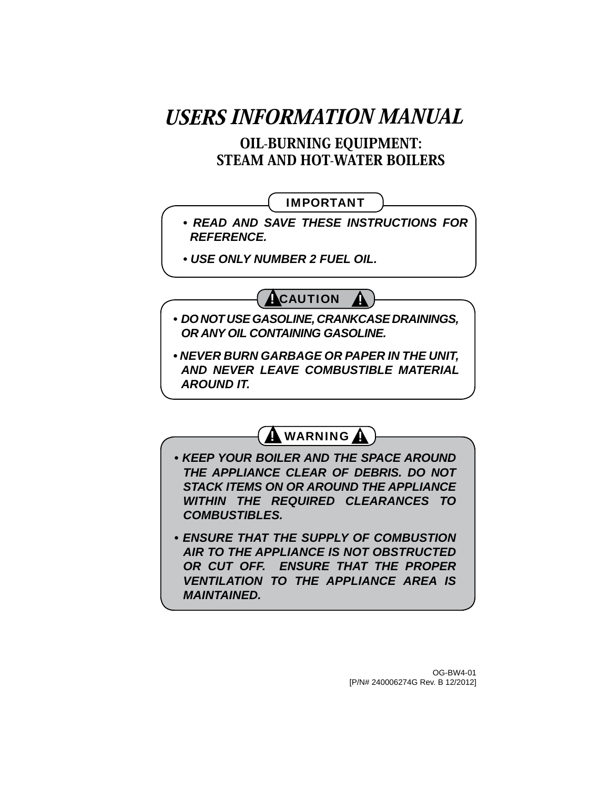# USERS INFORMATION MANUAL

OIL-BURNING EQUIPMENT: STEAM AND HOT-WATER BOILERS

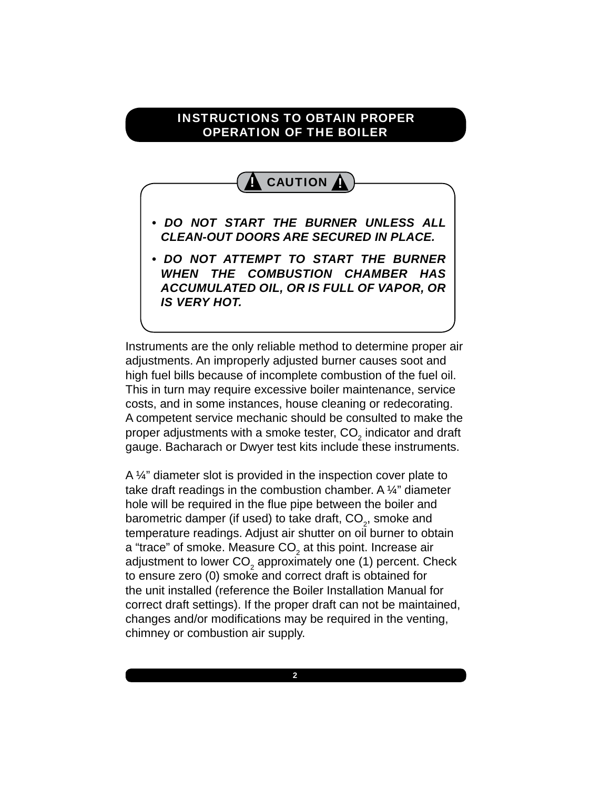#### INSTRUCTIONS TO OBTAIN PROPER OPERATION OF THE BOILER



Instruments are the only reliable method to determine proper air adjustments. An improperly adjusted burner causes soot and high fuel bills because of incomplete combustion of the fuel oil. This in turn may require excessive boiler maintenance, service costs, and in some instances, house cleaning or redecorating. A competent service mechanic should be consulted to make the proper adjustments with a smoke tester, CO $_{\tiny 2}$  indicator and draft gauge. Bacharach or Dwyer test kits include these instruments.

A 1/4" diameter slot is provided in the inspection cover plate to take draft readings in the combustion chamber. A ¼" diameter hole will be required in the flue pipe between the boiler and barometric damper (if used) to take draft,  $\mathsf{CO}_2^{}$ , smoke and temperature readings. Adjust air shutter on oil burner to obtain a "trace" of smoke. Measure CO $_{\textrm{\tiny{2}}}$  at this point. Increase air adjustment to lower CO<sub>2</sub> approximately one (1) percent. Check to ensure zero (0) smoke and correct draft is obtained for the unit installed (reference the Boiler Installation Manual for correct draft settings). If the proper draft can not be maintained, changes and/or modifications may be required in the venting, chimney or combustion air supply.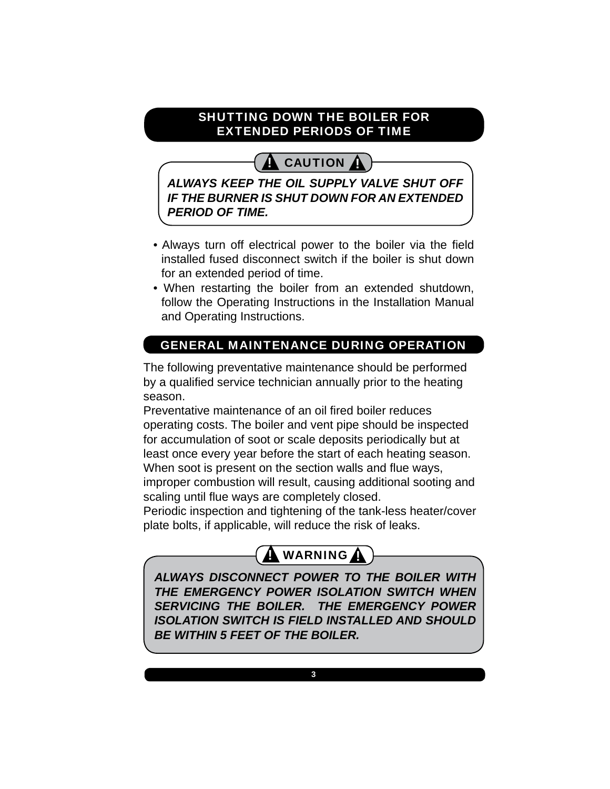### SHUTTING DOWN THE BOILER FOR EXTENDED PERIODS OF TIME

# **!** CAUTION **!**

*ALWAYS KEEP THE OIL SUPPLY VALVE SHUT OFF IF THE BURNER IS SHUT DOWN FOR AN EXTENDED PERIOD OF TIME.*

- Always turn off electrical power to the boiler via the field installed fused disconnect switch if the boiler is shut down for an extended period of time.
- When restarting the boiler from an extended shutdown, follow the Operating Instructions in the Installation Manual and Operating Instructions.

# GENERAL MAINTENANCE DURING OPERATION

The following preventative maintenance should be performed by a qualified service technician annually prior to the heating season.

Preventative maintenance of an oil fired boiler reduces operating costs. The boiler and vent pipe should be inspected for accumulation of soot or scale deposits periodically but at least once every year before the start of each heating season. When soot is present on the section walls and flue ways, improper combustion will result, causing additional sooting and

scaling until flue ways are completely closed.

Periodic inspection and tightening of the tank-less heater/cover plate bolts, if applicable, will reduce the risk of leaks.



*ALWAYS DISCONNECT POWER TO THE BOILER WITH THE EMERGENCY POWER ISOLATION SWITCH WHEN SERVICING THE BOILER. THE EMERGENCY POWER ISOLATION SWITCH IS FIELD INSTALLED AND SHOULD BE WITHIN 5 FEET OF THE BOILER.*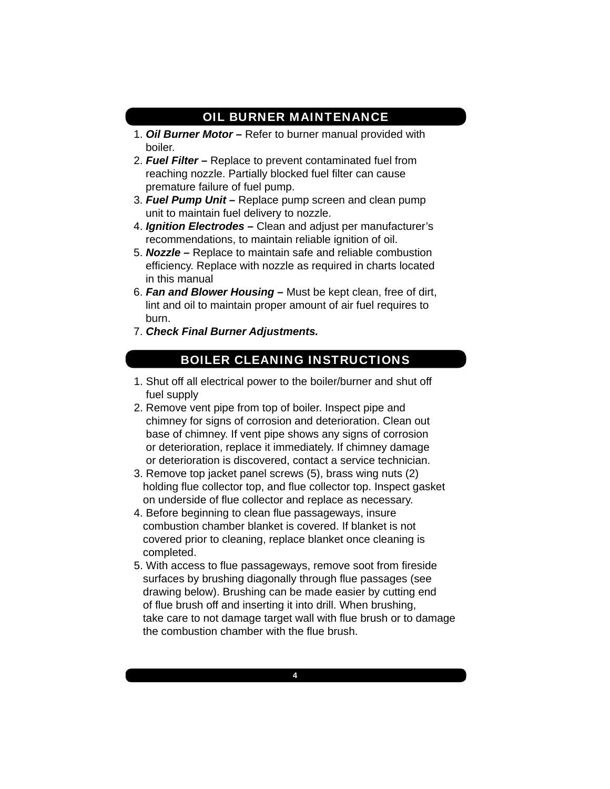#### OIL BURNER MAINTENANCE

- 1. *Oil Burner Motor* Refer to burner manual provided with boiler.
- 2. *Fuel Filter* Replace to prevent contaminated fuel from reaching nozzle. Partially blocked fuel filter can cause premature failure of fuel pump.
- 3. *Fuel Pump Unit* Replace pump screen and clean pump unit to maintain fuel delivery to nozzle.
- 4. *Ignition Electrodes* Clean and adjust per manufacturer's recommendations, to maintain reliable ignition of oil.
- 5. *Nozzle* Replace to maintain safe and reliable combustion efficiency. Replace with nozzle as required in charts located in this manual
- 6. *Fan and Blower Housing* Must be kept clean, free of dirt, lint and oil to maintain proper amount of air fuel requires to burn.
- 7. *Check Final Burner Adjustments.*

#### BOILER CLEANING INSTRUCTIONS

- 1. Shut off all electrical power to the boiler/burner and shut off fuel supply
- 2. Remove vent pipe from top of boiler. Inspect pipe and chimney for signs of corrosion and deterioration. Clean out base of chimney. If vent pipe shows any signs of corrosion or deterioration, replace it immediately. If chimney damage or deterioration is discovered, contact a service technician.
- 3. Remove top jacket panel screws (5), brass wing nuts (2) holding flue collector top, and flue collector top. Inspect gasket on underside of flue collector and replace as necessary.
- 4. Before beginning to clean flue passageways, insure combustion chamber blanket is covered. If blanket is not covered prior to cleaning, replace blanket once cleaning is completed.
- 5. With access to flue passageways, remove soot from fireside surfaces by brushing diagonally through flue passages (see drawing below). Brushing can be made easier by cutting end of flue brush off and inserting it into drill. When brushing, take care to not damage target wall with flue brush or to damage the combustion chamber with the flue brush.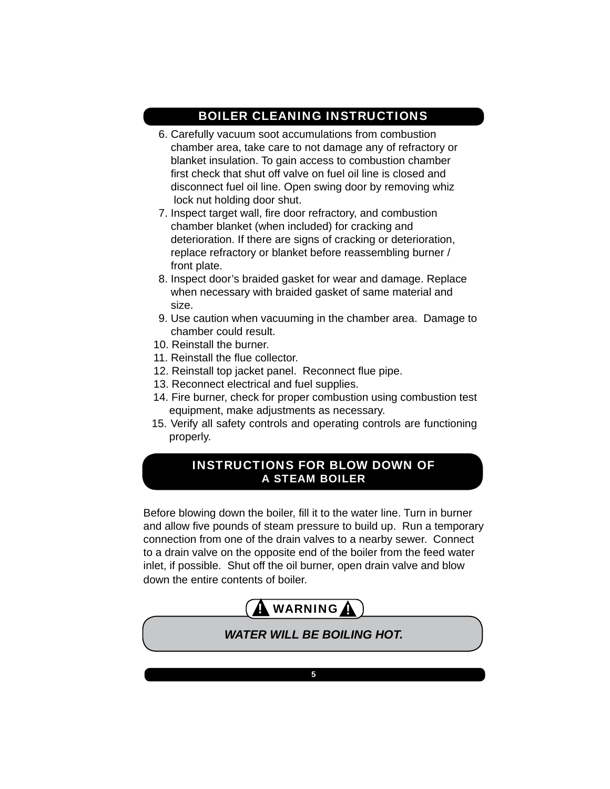#### BOILER CLEANING INSTRUCTIONS

- 6. Carefully vacuum soot accumulations from combustion chamber area, take care to not damage any of refractory or blanket insulation. To gain access to combustion chamber first check that shut off valve on fuel oil line is closed and disconnect fuel oil line. Open swing door by removing whiz lock nut holding door shut.
- 7. Inspect target wall, fire door refractory, and combustion chamber blanket (when included) for cracking and deterioration. If there are signs of cracking or deterioration, replace refractory or blanket before reassembling burner / front plate.
- 8. Inspect door's braided gasket for wear and damage. Replace when necessary with braided gasket of same material and size.
- 9. Use caution when vacuuming in the chamber area. Damage to chamber could result.
- 10. Reinstall the burner.
- 11. Reinstall the flue collector.
- 12. Reinstall top jacket panel. Reconnect flue pipe.
- 13. Reconnect electrical and fuel supplies.
- 14. Fire burner, check for proper combustion using combustion test equipment, make adjustments as necessary.
- 15. Verify all safety controls and operating controls are functioning properly.

#### INSTRUCTIONS FOR BLOW DOWN OF A STEAM BOILER

Before blowing down the boiler, fill it to the water line. Turn in burner and allow five pounds of steam pressure to build up. Run a temporary connection from one of the drain valves to a nearby sewer. Connect to a drain valve on the opposite end of the boiler from the feed water inlet, if possible. Shut off the oil burner, open drain valve and blow down the entire contents of boiler.



*WATER WILL BE BOILING HOT.*

**5**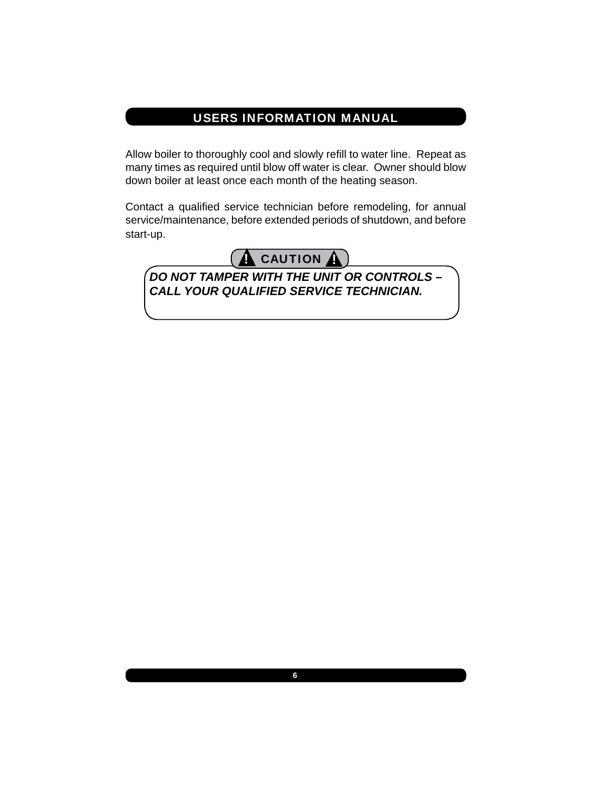## USERS INFORMATION MANUAL

Allow boiler to thoroughly cool and slowly refill to water line. Repeat as many times as required until blow off water is clear. Owner should blow down boiler at least once each month of the heating season.

Contact a qualified service technician before remodeling, for annual service/maintenance, before extended periods of shutdown, and before start-up.



*DO NOT TAMPER WITH THE UNIT OR CONTROLS – CALL YOUR QUALIFIED SERVICE TECHNICIAN.*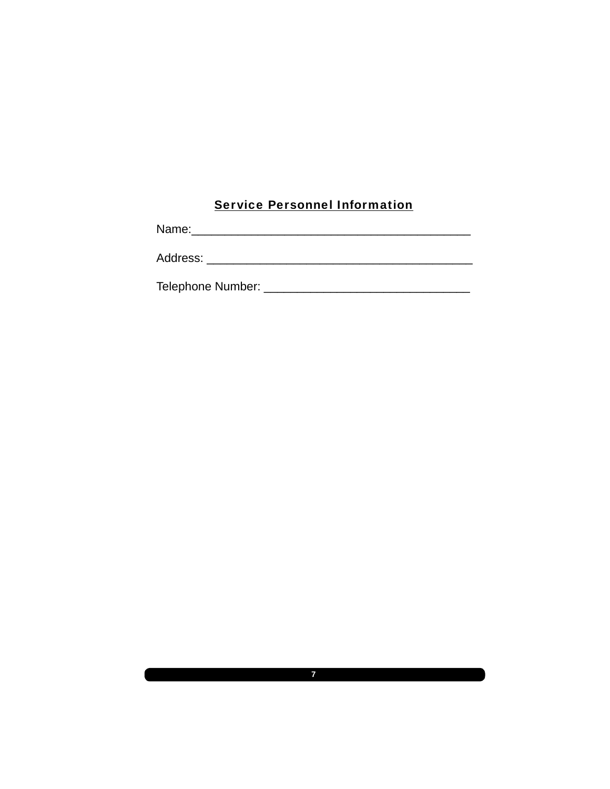### Service Personnel Information

Telephone Number: \_\_\_\_\_\_\_\_\_\_\_\_\_\_\_\_\_\_\_\_\_\_\_\_\_\_\_\_\_\_\_